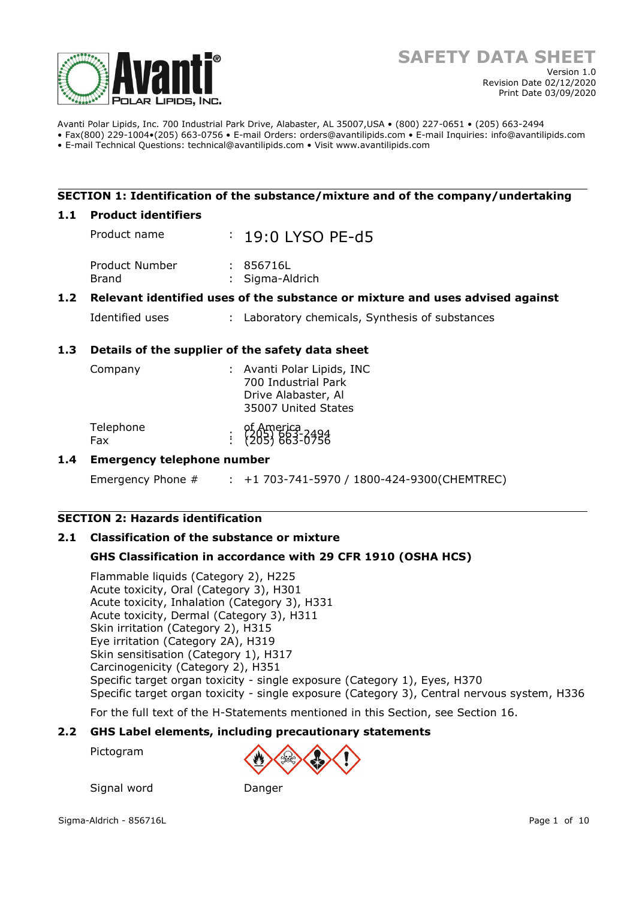

Avanti Polar Lipids, Inc. 700 Industrial Park Drive, Alabaster, AL 35007,USA • (800) 227-0651 • (205) 663-2494 • Fax(800) 229-1004•(205) 663-0756 • E-mail Orders: orders@avantilipids.com • E-mail Inquiries: info@avantilipids.com

• E-mail Technical Questions: technical@avantilipids.com • Visit www.avantilipids.com

#### **SECTION 1: Identification of the substance/mixture and of the company/undertaking**

#### **1.1 Product identifiers**

Product name : 19:0 LYSO PF-d5 Product Number : 856716L Brand : Sigma-Aldrich

## **1.2 Relevant identified uses of the substance or mixture and uses advised against**

Identified uses : Laboratory chemicals, Synthesis of substances

## **1.3 Details of the supplier of the safety data sheet**

| Company          | : Avanti Polar Lipids, INC<br>700 Industrial Park<br>Drive Alabaster, Al<br>35007 United States |
|------------------|-------------------------------------------------------------------------------------------------|
| Telephone<br>Fax | of America<br>: {205} 663-0756                                                                  |

#### **1.4 Emergency telephone number**

Emergency Phone # : +1 703-741-5970 / 1800-424-9300(CHEMTREC)

#### **SECTION 2: Hazards identification**

#### **2.1 Classification of the substance or mixture**

Signal word Danger

#### **GHS Classification in accordance with 29 CFR 1910 (OSHA HCS)**

Flammable liquids (Category 2), H225 Acute toxicity, Oral (Category 3), H301 Acute toxicity, Inhalation (Category 3), H331 Acute toxicity, Dermal (Category 3), H311 Skin irritation (Category 2), H315 Eye irritation (Category 2A), H319 Skin sensitisation (Category 1), H317 Carcinogenicity (Category 2), H351 Specific target organ toxicity - single exposure (Category 1), Eyes, H370 Specific target organ toxicity - single exposure (Category 3), Central nervous system, H336

For the full text of the H-Statements mentioned in this Section, see Section 16.

#### **2.2 GHS Label elements, including precautionary statements**

Pictogram

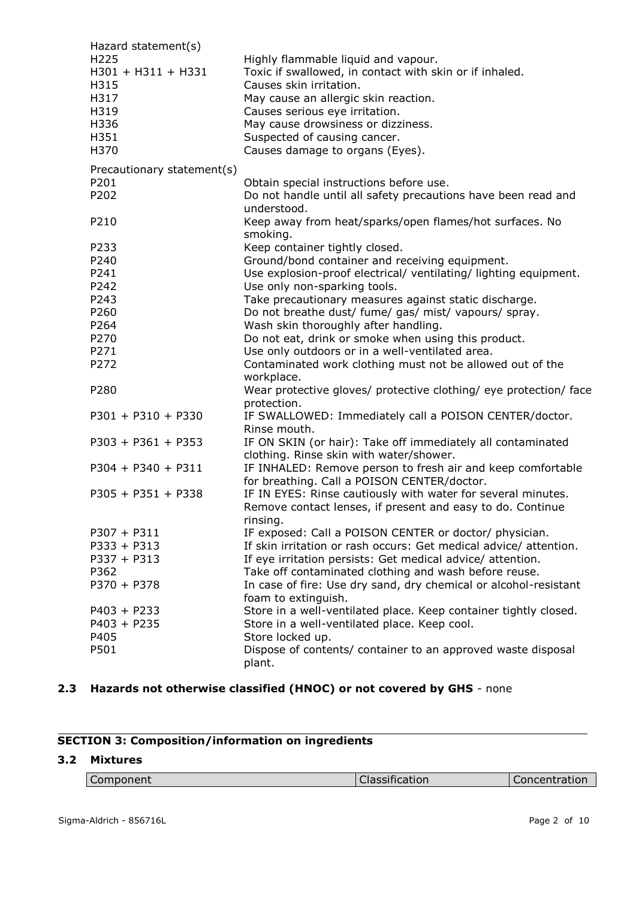| Hazard statement(s)                      |                                                                                                                  |
|------------------------------------------|------------------------------------------------------------------------------------------------------------------|
| H <sub>225</sub><br>$H301 + H311 + H331$ | Highly flammable liquid and vapour.<br>Toxic if swallowed, in contact with skin or if inhaled.                   |
| H315                                     | Causes skin irritation.                                                                                          |
| H317                                     | May cause an allergic skin reaction.                                                                             |
| H319                                     | Causes serious eye irritation.                                                                                   |
| H336                                     | May cause drowsiness or dizziness.                                                                               |
| H351                                     | Suspected of causing cancer.                                                                                     |
| H370                                     | Causes damage to organs (Eyes).                                                                                  |
| Precautionary statement(s)               |                                                                                                                  |
| P201                                     | Obtain special instructions before use.                                                                          |
| P202                                     | Do not handle until all safety precautions have been read and<br>understood.                                     |
| P210                                     | Keep away from heat/sparks/open flames/hot surfaces. No                                                          |
|                                          | smoking.                                                                                                         |
| P233                                     | Keep container tightly closed.                                                                                   |
| P240                                     | Ground/bond container and receiving equipment.                                                                   |
| P241                                     | Use explosion-proof electrical/ ventilating/ lighting equipment.                                                 |
| P242                                     | Use only non-sparking tools.                                                                                     |
| P243                                     | Take precautionary measures against static discharge.                                                            |
| P260                                     | Do not breathe dust/ fume/ gas/ mist/ vapours/ spray.                                                            |
| P264<br>P270                             | Wash skin thoroughly after handling.<br>Do not eat, drink or smoke when using this product.                      |
| P271                                     | Use only outdoors or in a well-ventilated area.                                                                  |
| P272                                     | Contaminated work clothing must not be allowed out of the                                                        |
|                                          | workplace.                                                                                                       |
| P280                                     | Wear protective gloves/ protective clothing/ eye protection/ face<br>protection.                                 |
| $P301 + P310 + P330$                     | IF SWALLOWED: Immediately call a POISON CENTER/doctor.                                                           |
|                                          | Rinse mouth.                                                                                                     |
| $P303 + P361 + P353$                     | IF ON SKIN (or hair): Take off immediately all contaminated                                                      |
|                                          | clothing. Rinse skin with water/shower.                                                                          |
| $P304 + P340 + P311$                     | IF INHALED: Remove person to fresh air and keep comfortable                                                      |
|                                          | for breathing. Call a POISON CENTER/doctor.                                                                      |
| $P305 + P351 + P338$                     | IF IN EYES: Rinse cautiously with water for several minutes.                                                     |
|                                          | Remove contact lenses, if present and easy to do. Continue<br>rinsing.                                           |
| $P307 + P311$                            | IF exposed: Call a POISON CENTER or doctor/ physician.                                                           |
| $P333 + P313$                            | If skin irritation or rash occurs: Get medical advice/ attention.                                                |
| $P337 + P313$                            | If eye irritation persists: Get medical advice/ attention.                                                       |
| P362                                     | Take off contaminated clothing and wash before reuse.                                                            |
| $P370 + P378$                            | In case of fire: Use dry sand, dry chemical or alcohol-resistant                                                 |
| $P403 + P233$                            | foam to extinguish.                                                                                              |
| $P403 + P235$                            | Store in a well-ventilated place. Keep container tightly closed.<br>Store in a well-ventilated place. Keep cool. |
| P405                                     | Store locked up.                                                                                                 |
| P501                                     | Dispose of contents/ container to an approved waste disposal                                                     |
|                                          | plant.                                                                                                           |

## **2.3 Hazards not otherwise classified (HNOC) or not covered by GHS** - none

# **SECTION 3: Composition/information on ingredients**

## **3.2 Mixtures**

| ---------<br>ponent | - -<br>$- - - - - -$<br>ulcation.<br>JI GOO!! | ----------<br>+ at IV.<br>and the contract of the contract of |
|---------------------|-----------------------------------------------|---------------------------------------------------------------|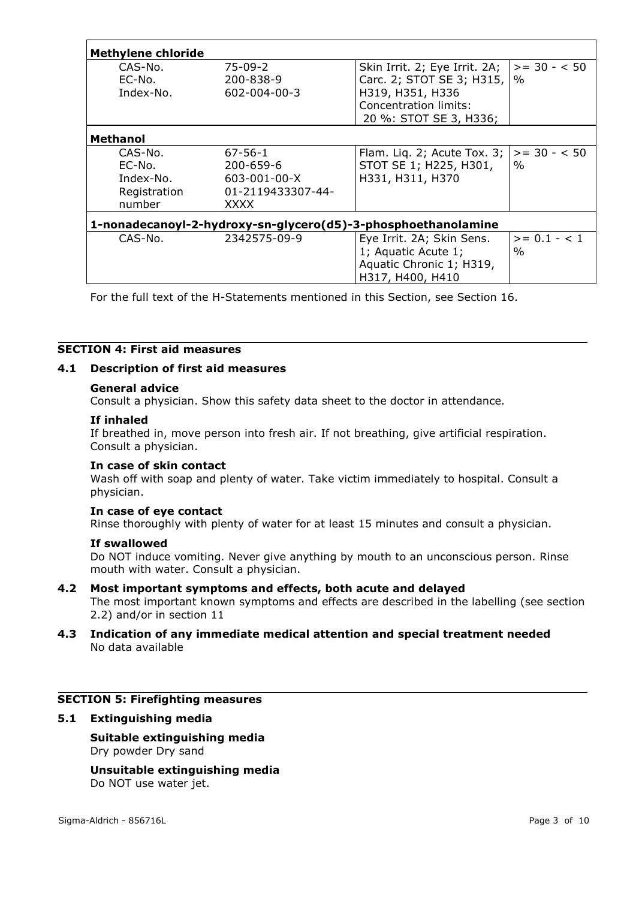| <b>Methylene chloride</b>                                     |                                                                                              |                                                                                                                                                 |                        |  |  |
|---------------------------------------------------------------|----------------------------------------------------------------------------------------------|-------------------------------------------------------------------------------------------------------------------------------------------------|------------------------|--|--|
| CAS-No.<br>EC-No.<br>Index-No.                                | $75-09-2$<br>200-838-9<br>$602 - 004 - 00 - 3$                                               | Skin Irrit. 2; Eye Irrit. 2A; $ >= 30 - 50$<br>Carc. 2; STOT SE 3; H315,<br>H319, H351, H336<br>Concentration limits:<br>20 %: STOT SE 3, H336; | $\%$                   |  |  |
| Methanol                                                      |                                                                                              |                                                                                                                                                 |                        |  |  |
| CAS-No.<br>EC-No.<br>Index-No.<br>Registration<br>number      | $67 - 56 - 1$<br>$200 - 659 - 6$<br>$603 - 001 - 00 - X$<br>01-2119433307-44-<br><b>XXXX</b> | Flam. Liq. 2; Acute Tox. 3;<br>STOT SE 1; H225, H301,<br>H331, H311, H370                                                                       | $>= 30 - 50$<br>$\%$   |  |  |
| 1-nonadecanoyl-2-hydroxy-sn-glycero(d5)-3-phosphoethanolamine |                                                                                              |                                                                                                                                                 |                        |  |  |
| CAS-No.                                                       | 2342575-09-9                                                                                 | Eye Irrit. 2A; Skin Sens.<br>1; Aquatic Acute 1;<br>Aquatic Chronic 1; H319,<br>H317, H400, H410                                                | $>= 0.1 - < 1$<br>$\%$ |  |  |

For the full text of the H-Statements mentioned in this Section, see Section 16.

## **SECTION 4: First aid measures**

#### **4.1 Description of first aid measures**

#### **General advice**

Consult a physician. Show this safety data sheet to the doctor in attendance.

#### **If inhaled**

If breathed in, move person into fresh air. If not breathing, give artificial respiration. Consult a physician.

#### **In case of skin contact**

Wash off with soap and plenty of water. Take victim immediately to hospital. Consult a physician.

#### **In case of eye contact**

Rinse thoroughly with plenty of water for at least 15 minutes and consult a physician.

#### **If swallowed**

Do NOT induce vomiting. Never give anything by mouth to an unconscious person. Rinse mouth with water. Consult a physician.

#### **4.2 Most important symptoms and effects, both acute and delayed**

The most important known symptoms and effects are described in the labelling (see section 2.2) and/or in section 11

#### **4.3 Indication of any immediate medical attention and special treatment needed** No data available

## **SECTION 5: Firefighting measures**

#### **5.1 Extinguishing media**

#### **Suitable extinguishing media** Dry powder Dry sand

**Unsuitable extinguishing media** Do NOT use water jet.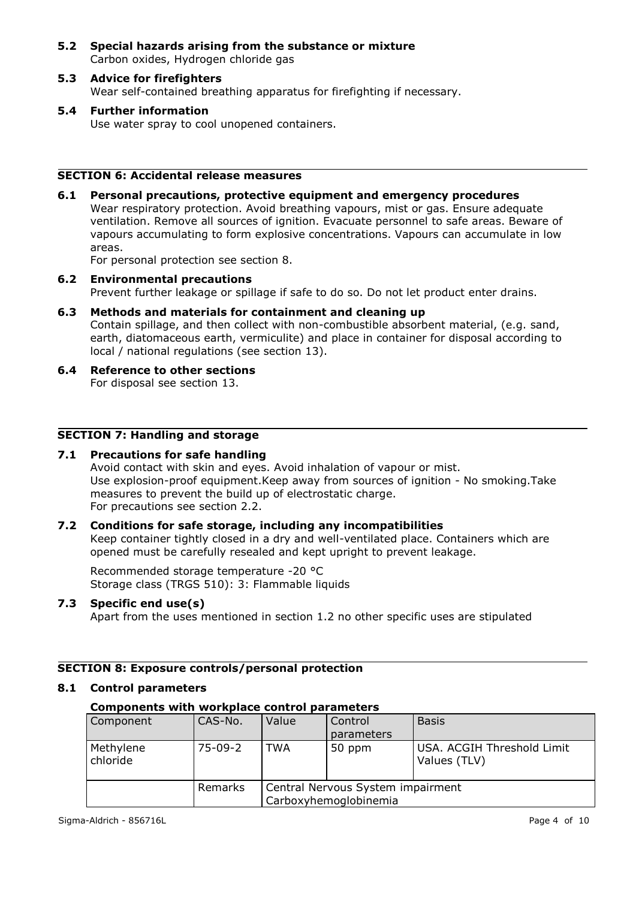- **5.2 Special hazards arising from the substance or mixture** Carbon oxides, Hydrogen chloride gas
- **5.3 Advice for firefighters** Wear self-contained breathing apparatus for firefighting if necessary.
- **5.4 Further information** Use water spray to cool unopened containers.

## **SECTION 6: Accidental release measures**

**6.1 Personal precautions, protective equipment and emergency procedures** Wear respiratory protection. Avoid breathing vapours, mist or gas. Ensure adequate ventilation. Remove all sources of ignition. Evacuate personnel to safe areas. Beware of vapours accumulating to form explosive concentrations. Vapours can accumulate in low areas.

For personal protection see section 8.

- **6.2 Environmental precautions** Prevent further leakage or spillage if safe to do so. Do not let product enter drains.
- **6.3 Methods and materials for containment and cleaning up** Contain spillage, and then collect with non-combustible absorbent material, (e.g. sand, earth, diatomaceous earth, vermiculite) and place in container for disposal according to local / national regulations (see section 13).
- **6.4 Reference to other sections** For disposal see section 13.

## **SECTION 7: Handling and storage**

#### **7.1 Precautions for safe handling**

Avoid contact with skin and eyes. Avoid inhalation of vapour or mist. Use explosion-proof equipment.Keep away from sources of ignition - No smoking.Take measures to prevent the build up of electrostatic charge. For precautions see section 2.2.

#### **7.2 Conditions for safe storage, including any incompatibilities**

Keep container tightly closed in a dry and well-ventilated place. Containers which are opened must be carefully resealed and kept upright to prevent leakage.

Recommended storage temperature -20 °C Storage class (TRGS 510): 3: Flammable liquids

#### **7.3 Specific end use(s)**

Apart from the uses mentioned in section 1.2 no other specific uses are stipulated

#### **SECTION 8: Exposure controls/personal protection**

#### **8.1 Control parameters**

### **Components with workplace control parameters**

| Component             | CAS-No.   | Value                                                      | Control<br>parameters | <b>Basis</b>                               |
|-----------------------|-----------|------------------------------------------------------------|-----------------------|--------------------------------------------|
| Methylene<br>chloride | $75-09-2$ | TWA                                                        | 50 ppm                | USA. ACGIH Threshold Limit<br>Values (TLV) |
|                       | Remarks   | Central Nervous System impairment<br>Carboxyhemoglobinemia |                       |                                            |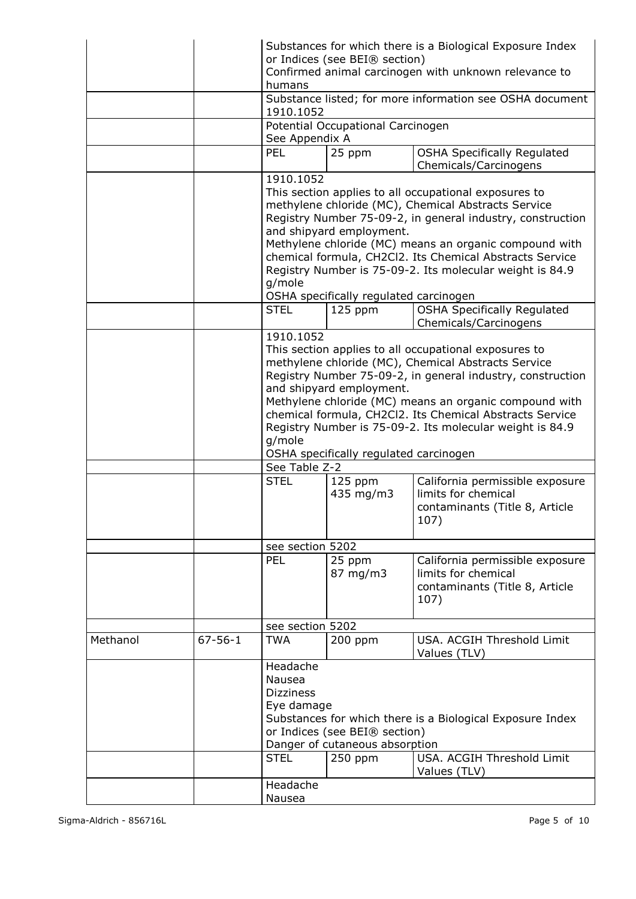|          |               | humans<br>1910.1052<br>See Appendix A<br><b>PEL</b><br>1910.1052                                                                                                                                                                                                                                                                                                                                                                                                                                                                                                                                                        | or Indices (see BEI® section)<br>Potential Occupational Carcinogen<br>25 ppm | Substances for which there is a Biological Exposure Index<br>Confirmed animal carcinogen with unknown relevance to<br>Substance listed; for more information see OSHA document<br><b>OSHA Specifically Regulated</b><br>Chemicals/Carcinogens |  |
|----------|---------------|-------------------------------------------------------------------------------------------------------------------------------------------------------------------------------------------------------------------------------------------------------------------------------------------------------------------------------------------------------------------------------------------------------------------------------------------------------------------------------------------------------------------------------------------------------------------------------------------------------------------------|------------------------------------------------------------------------------|-----------------------------------------------------------------------------------------------------------------------------------------------------------------------------------------------------------------------------------------------|--|
|          |               | This section applies to all occupational exposures to<br>methylene chloride (MC), Chemical Abstracts Service<br>Registry Number 75-09-2, in general industry, construction<br>and shipyard employment.<br>Methylene chloride (MC) means an organic compound with<br>chemical formula, CH2Cl2. Its Chemical Abstracts Service<br>Registry Number is 75-09-2. Its molecular weight is 84.9<br>g/mole<br>OSHA specifically regulated carcinogen                                                                                                                                                                            |                                                                              |                                                                                                                                                                                                                                               |  |
|          |               | <b>STEL</b>                                                                                                                                                                                                                                                                                                                                                                                                                                                                                                                                                                                                             | $125$ ppm                                                                    | <b>OSHA Specifically Regulated</b><br>Chemicals/Carcinogens                                                                                                                                                                                   |  |
|          |               | 1910.1052<br>This section applies to all occupational exposures to<br>methylene chloride (MC), Chemical Abstracts Service<br>Registry Number 75-09-2, in general industry, construction<br>and shipyard employment.<br>Methylene chloride (MC) means an organic compound with<br>chemical formula, CH2Cl2. Its Chemical Abstracts Service<br>Registry Number is 75-09-2. Its molecular weight is 84.9<br>g/mole<br>OSHA specifically regulated carcinogen<br>See Table Z-2<br><b>STEL</b><br>California permissible exposure<br>$125$ ppm<br>limits for chemical<br>435 mg/m3<br>contaminants (Title 8, Article<br>107) |                                                                              |                                                                                                                                                                                                                                               |  |
|          |               | see section 5202                                                                                                                                                                                                                                                                                                                                                                                                                                                                                                                                                                                                        |                                                                              |                                                                                                                                                                                                                                               |  |
|          |               | PEL                                                                                                                                                                                                                                                                                                                                                                                                                                                                                                                                                                                                                     | 25 ppm<br>87 mg/m3                                                           | California permissible exposure<br>limits for chemical<br>contaminants (Title 8, Article<br>107)                                                                                                                                              |  |
|          |               | see section 5202                                                                                                                                                                                                                                                                                                                                                                                                                                                                                                                                                                                                        |                                                                              |                                                                                                                                                                                                                                               |  |
| Methanol | $67 - 56 - 1$ | <b>TWA</b>                                                                                                                                                                                                                                                                                                                                                                                                                                                                                                                                                                                                              | $200$ ppm                                                                    | USA. ACGIH Threshold Limit<br>Values (TLV)                                                                                                                                                                                                    |  |
|          |               | Headache<br>Nausea<br><b>Dizziness</b><br>Eye damage<br><b>STEL</b>                                                                                                                                                                                                                                                                                                                                                                                                                                                                                                                                                     | or Indices (see BEI® section)<br>Danger of cutaneous absorption<br>$250$ ppm | Substances for which there is a Biological Exposure Index<br>USA. ACGIH Threshold Limit                                                                                                                                                       |  |
|          |               | Headache                                                                                                                                                                                                                                                                                                                                                                                                                                                                                                                                                                                                                |                                                                              | Values (TLV)                                                                                                                                                                                                                                  |  |
|          |               | Nausea                                                                                                                                                                                                                                                                                                                                                                                                                                                                                                                                                                                                                  |                                                                              |                                                                                                                                                                                                                                               |  |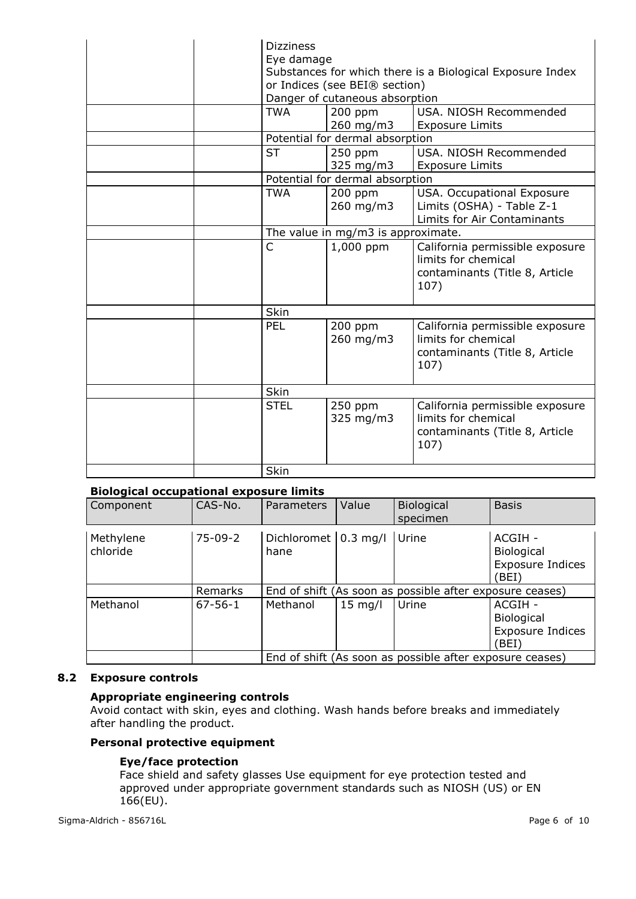| <b>Dizziness</b><br>Eye damage<br>Substances for which there is a Biological Exposure Index<br>or Indices (see BEI® section)<br>Danger of cutaneous absorption |                                    |                                                                                                  |  |
|----------------------------------------------------------------------------------------------------------------------------------------------------------------|------------------------------------|--------------------------------------------------------------------------------------------------|--|
| <b>TWA</b>                                                                                                                                                     | $200$ ppm<br>260 mg/m3             | USA, NIOSH Recommended<br><b>Exposure Limits</b>                                                 |  |
|                                                                                                                                                                | Potential for dermal absorption    |                                                                                                  |  |
| <b>ST</b>                                                                                                                                                      | $250$ ppm<br>325 mg/m3             | USA. NIOSH Recommended<br><b>Exposure Limits</b>                                                 |  |
|                                                                                                                                                                | Potential for dermal absorption    |                                                                                                  |  |
| <b>TWA</b>                                                                                                                                                     | $200$ ppm<br>260 mg/m3             | USA. Occupational Exposure<br>Limits (OSHA) - Table Z-1<br>Limits for Air Contaminants           |  |
|                                                                                                                                                                | The value in mg/m3 is approximate. |                                                                                                  |  |
| C                                                                                                                                                              | 1,000 ppm                          | California permissible exposure<br>limits for chemical<br>contaminants (Title 8, Article<br>107) |  |
| Skin                                                                                                                                                           |                                    |                                                                                                  |  |
| PEL                                                                                                                                                            | $200$ ppm<br>260 mg/m3             | California permissible exposure<br>limits for chemical<br>contaminants (Title 8, Article<br>107) |  |
| <b>Skin</b>                                                                                                                                                    |                                    |                                                                                                  |  |
| <b>STEL</b>                                                                                                                                                    | 250 ppm<br>325 mg/m3               | California permissible exposure<br>limits for chemical<br>contaminants (Title 8, Article<br>107) |  |
| Skin                                                                                                                                                           |                                    |                                                                                                  |  |

#### **Biological occupational exposure limits**

| Component             | CAS-No.       | Parameters                              | Value     | Biological<br>specimen                                   | <b>Basis</b>                                                     |
|-----------------------|---------------|-----------------------------------------|-----------|----------------------------------------------------------|------------------------------------------------------------------|
| Methylene<br>chloride | $75-09-2$     | Dichloromet $ 0.3 \text{ mg}/1$<br>hane |           | Urine                                                    | ACGIH -<br><b>Biological</b><br>Exposure Indices<br>(BEI)        |
|                       | Remarks       |                                         |           | End of shift (As soon as possible after exposure ceases) |                                                                  |
| Methanol              | $67 - 56 - 1$ | Methanol                                | $15$ mg/l | Urine                                                    | ACGIH -<br><b>Biological</b><br><b>Exposure Indices</b><br>'BEI) |
|                       |               |                                         |           | End of shift (As soon as possible after exposure ceases) |                                                                  |

## **8.2 Exposure controls**

## **Appropriate engineering controls**

Avoid contact with skin, eyes and clothing. Wash hands before breaks and immediately after handling the product.

#### **Personal protective equipment**

#### **Eye/face protection**

Face shield and safety glasses Use equipment for eye protection tested and approved under appropriate government standards such as NIOSH (US) or EN 166(EU).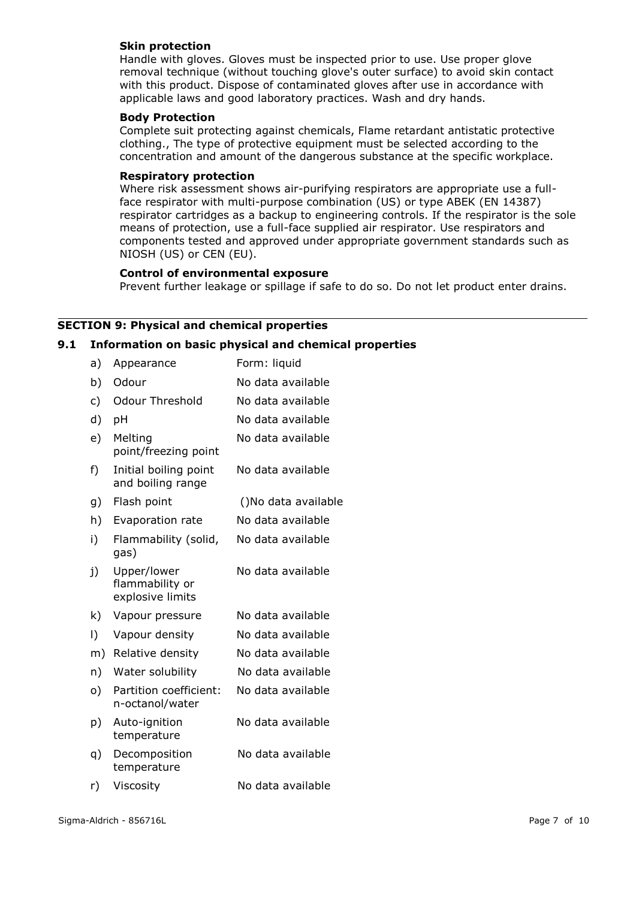#### **Skin protection**

Handle with gloves. Gloves must be inspected prior to use. Use proper glove removal technique (without touching glove's outer surface) to avoid skin contact with this product. Dispose of contaminated gloves after use in accordance with applicable laws and good laboratory practices. Wash and dry hands.

#### **Body Protection**

Complete suit protecting against chemicals, Flame retardant antistatic protective clothing., The type of protective equipment must be selected according to the concentration and amount of the dangerous substance at the specific workplace.

#### **Respiratory protection**

Where risk assessment shows air-purifying respirators are appropriate use a fullface respirator with multi-purpose combination (US) or type ABEK (EN 14387) respirator cartridges as a backup to engineering controls. If the respirator is the sole means of protection, use a full-face supplied air respirator. Use respirators and components tested and approved under appropriate government standards such as NIOSH (US) or CEN (EU).

#### **Control of environmental exposure**

Prevent further leakage or spillage if safe to do so. Do not let product enter drains.

## **SECTION 9: Physical and chemical properties**

#### **9.1 Information on basic physical and chemical properties**

| a)        | Appearance                                         | Form: liquid        |
|-----------|----------------------------------------------------|---------------------|
| b)        | Odour                                              | No data available   |
| c)        | <b>Odour Threshold</b>                             | No data available   |
| d)        | pH                                                 | No data available   |
| e)        | Melting<br>point/freezing point                    | No data available   |
| f)        | Initial boiling point<br>and boiling range         | No data available   |
| g)        | Flash point                                        | ()No data available |
| h)        | Evaporation rate                                   | No data available   |
| i)        | Flammability (solid,<br>gas)                       | No data available   |
| j)        | Upper/lower<br>flammability or<br>explosive limits | No data available   |
| k)        | Vapour pressure                                    | No data available   |
| $\vert$ ) | Vapour density                                     | No data available   |
| m)        | Relative density                                   | No data available   |
| n)        | Water solubility                                   | No data available   |
| o)        | Partition coefficient:<br>n-octanol/water          | No data available   |
| p)        | Auto-ignition<br>temperature                       | No data available   |
| q)        | Decomposition<br>temperature                       | No data available   |
| r)        | Viscosity                                          | No data available   |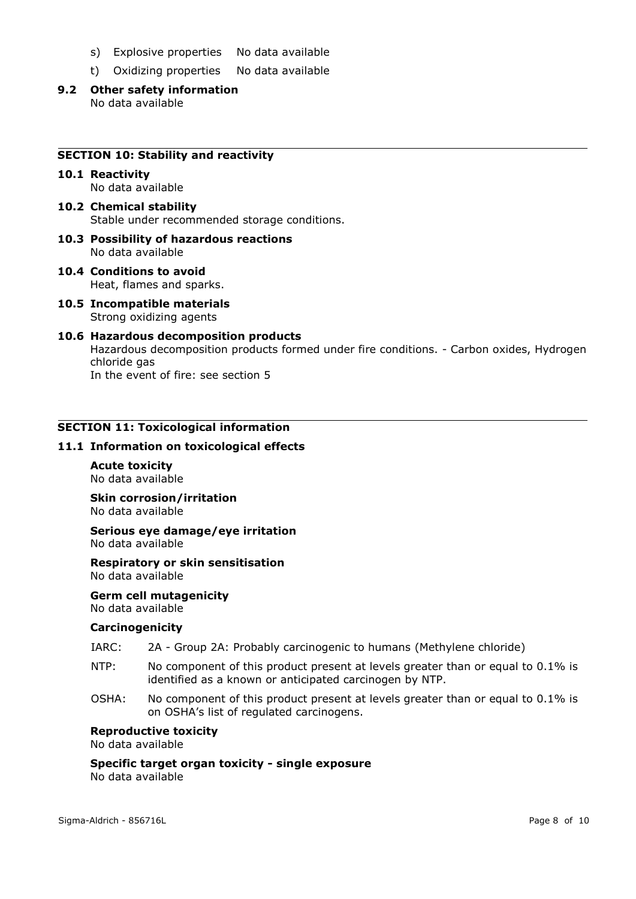- s) Explosive properties No data available
- t) Oxidizing properties No data available
- **9.2 Other safety information** No data available

#### **SECTION 10: Stability and reactivity**

#### **10.1 Reactivity** No data available

- **10.2 Chemical stability** Stable under recommended storage conditions.
- **10.3 Possibility of hazardous reactions** No data available
- **10.4 Conditions to avoid** Heat, flames and sparks.
- **10.5 Incompatible materials** Strong oxidizing agents
- **10.6 Hazardous decomposition products** Hazardous decomposition products formed under fire conditions. - Carbon oxides, Hydrogen chloride gas In the event of fire: see section 5

#### **SECTION 11: Toxicological information**

#### **11.1 Information on toxicological effects**

**Acute toxicity** No data available

**Skin corrosion/irritation** No data available

**Serious eye damage/eye irritation** No data available

**Respiratory or skin sensitisation** No data available

**Germ cell mutagenicity** No data available

#### **Carcinogenicity**

- IARC: 2A Group 2A: Probably carcinogenic to humans (Methylene chloride)
- NTP: No component of this product present at levels greater than or equal to 0.1% is identified as a known or anticipated carcinogen by NTP.
- OSHA: No component of this product present at levels greater than or equal to 0.1% is on OSHA's list of regulated carcinogens.

#### **Reproductive toxicity**

No data available

**Specific target organ toxicity - single exposure** No data available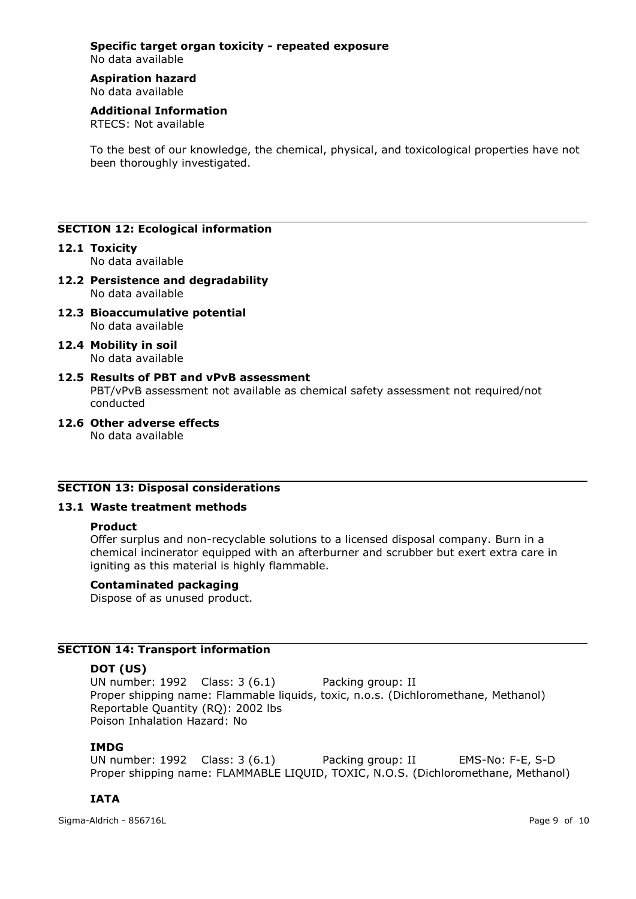#### **Specific target organ toxicity - repeated exposure** No data available

# **Aspiration hazard**

No data available

# **Additional Information**

RTECS: Not available

To the best of our knowledge, the chemical, physical, and toxicological properties have not been thoroughly investigated.

## **SECTION 12: Ecological information**

#### **12.1 Toxicity**

No data available

- **12.2 Persistence and degradability** No data available
- **12.3 Bioaccumulative potential** No data available
- **12.4 Mobility in soil** No data available
- **12.5 Results of PBT and vPvB assessment** PBT/vPvB assessment not available as chemical safety assessment not required/not conducted
- **12.6 Other adverse effects** No data available

#### **SECTION 13: Disposal considerations**

#### **13.1 Waste treatment methods**

#### **Product**

Offer surplus and non-recyclable solutions to a licensed disposal company. Burn in a chemical incinerator equipped with an afterburner and scrubber but exert extra care in igniting as this material is highly flammable.

#### **Contaminated packaging**

Dispose of as unused product.

## **SECTION 14: Transport information**

#### **DOT (US)**

UN number: 1992 Class: 3 (6.1) Packing group: II Proper shipping name: Flammable liquids, toxic, n.o.s. (Dichloromethane, Methanol) Reportable Quantity (RQ): 2002 lbs Poison Inhalation Hazard: No

#### **IMDG**

UN number: 1992 Class: 3 (6.1) Packing group: II EMS-No: F-E, S-D Proper shipping name: FLAMMABLE LIQUID, TOXIC, N.O.S. (Dichloromethane, Methanol)

## **IATA**

Sigma-Aldrich - 856716L Page 9 of 10